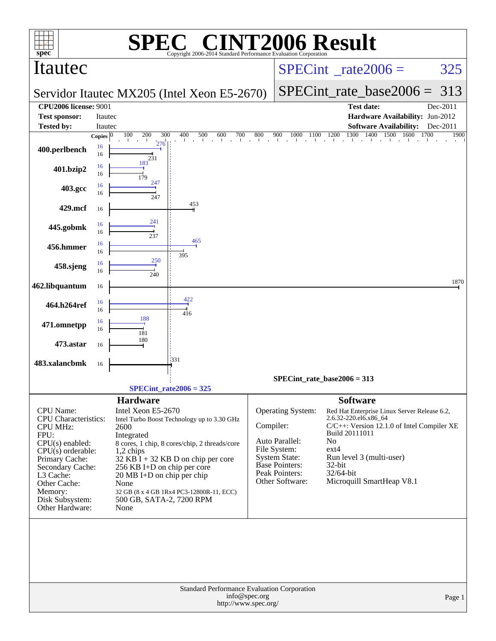| $spec*$                                                                                                                                                                                                                             |                         | SPE)                                                                                                                                                                                        | $\bigcap$<br>Copyright 2006-2014 Standard Performance Evaluation Corporation                                                                                                     |                                       | <b>INT2006 Result</b>                                                                                                                     |                                                                                                                    |                                                                                                                                                     |                  |        |
|-------------------------------------------------------------------------------------------------------------------------------------------------------------------------------------------------------------------------------------|-------------------------|---------------------------------------------------------------------------------------------------------------------------------------------------------------------------------------------|----------------------------------------------------------------------------------------------------------------------------------------------------------------------------------|---------------------------------------|-------------------------------------------------------------------------------------------------------------------------------------------|--------------------------------------------------------------------------------------------------------------------|-----------------------------------------------------------------------------------------------------------------------------------------------------|------------------|--------|
| Itautec                                                                                                                                                                                                                             |                         |                                                                                                                                                                                             |                                                                                                                                                                                  |                                       |                                                                                                                                           | $SPECint^{\circ}$ <sub>_rate2006</sub> =                                                                           |                                                                                                                                                     | 325              |        |
|                                                                                                                                                                                                                                     |                         |                                                                                                                                                                                             | Servidor Itautec MX205 (Intel Xeon E5-2670)                                                                                                                                      |                                       |                                                                                                                                           |                                                                                                                    | $SPECint_rate_base2006 =$                                                                                                                           | 313              |        |
| <b>CPU2006 license: 9001</b>                                                                                                                                                                                                        |                         |                                                                                                                                                                                             |                                                                                                                                                                                  |                                       |                                                                                                                                           |                                                                                                                    | <b>Test date:</b>                                                                                                                                   | Dec-2011         |        |
| <b>Test sponsor:</b>                                                                                                                                                                                                                | Itautec                 |                                                                                                                                                                                             |                                                                                                                                                                                  |                                       |                                                                                                                                           |                                                                                                                    | Hardware Availability: Jun-2012                                                                                                                     |                  |        |
| <b>Tested by:</b>                                                                                                                                                                                                                   | Itautec<br>Copies $ 0 $ | 100<br>200<br>300                                                                                                                                                                           | 500<br>600<br>700<br>400                                                                                                                                                         | 800                                   | 900                                                                                                                                       | 1300<br>$1000$ $1100$ $1200$ $1300$ $140$                                                                          | <b>Software Availability:</b><br>1400<br>1500<br>1600                                                                                               | Dec-2011<br>1700 | 1900   |
| 400.perlbench                                                                                                                                                                                                                       | 16<br>16                | 276<br>231                                                                                                                                                                                  |                                                                                                                                                                                  |                                       |                                                                                                                                           |                                                                                                                    |                                                                                                                                                     |                  |        |
| 401.bzip2                                                                                                                                                                                                                           | 16<br>16                | 183<br>179                                                                                                                                                                                  |                                                                                                                                                                                  |                                       |                                                                                                                                           |                                                                                                                    |                                                                                                                                                     |                  |        |
| 403.gcc                                                                                                                                                                                                                             | 16<br>16                | 247<br>247                                                                                                                                                                                  |                                                                                                                                                                                  |                                       |                                                                                                                                           |                                                                                                                    |                                                                                                                                                     |                  |        |
| 429.mcf                                                                                                                                                                                                                             | 16                      |                                                                                                                                                                                             | 453                                                                                                                                                                              |                                       |                                                                                                                                           |                                                                                                                    |                                                                                                                                                     |                  |        |
| 445.gobmk                                                                                                                                                                                                                           | 16<br>16                | 241<br>237                                                                                                                                                                                  |                                                                                                                                                                                  |                                       |                                                                                                                                           |                                                                                                                    |                                                                                                                                                     |                  |        |
| 456.hmmer                                                                                                                                                                                                                           | 16<br>16                |                                                                                                                                                                                             | 465                                                                                                                                                                              |                                       |                                                                                                                                           |                                                                                                                    |                                                                                                                                                     |                  |        |
| 458.sjeng                                                                                                                                                                                                                           | 16<br>16                | 250<br>240                                                                                                                                                                                  | 395                                                                                                                                                                              |                                       |                                                                                                                                           |                                                                                                                    |                                                                                                                                                     |                  |        |
| 462.libquantum                                                                                                                                                                                                                      | 16                      |                                                                                                                                                                                             |                                                                                                                                                                                  |                                       |                                                                                                                                           |                                                                                                                    |                                                                                                                                                     |                  | 1870   |
| 464.h264ref                                                                                                                                                                                                                         | 16<br>16                |                                                                                                                                                                                             | 422<br>416                                                                                                                                                                       |                                       |                                                                                                                                           |                                                                                                                    |                                                                                                                                                     |                  |        |
| 471.omnetpp                                                                                                                                                                                                                         | 16<br>16                | 188<br>181                                                                                                                                                                                  |                                                                                                                                                                                  |                                       |                                                                                                                                           |                                                                                                                    |                                                                                                                                                     |                  |        |
| 473.astar                                                                                                                                                                                                                           | 16                      | 180                                                                                                                                                                                         |                                                                                                                                                                                  |                                       |                                                                                                                                           |                                                                                                                    |                                                                                                                                                     |                  |        |
| 483.xalancbmk                                                                                                                                                                                                                       | 16                      |                                                                                                                                                                                             | 1331                                                                                                                                                                             |                                       |                                                                                                                                           |                                                                                                                    |                                                                                                                                                     |                  |        |
|                                                                                                                                                                                                                                     |                         |                                                                                                                                                                                             |                                                                                                                                                                                  |                                       | $SPECint_rate_base2006 = 313$                                                                                                             |                                                                                                                    |                                                                                                                                                     |                  |        |
|                                                                                                                                                                                                                                     |                         |                                                                                                                                                                                             | $SPECint_rate2006 = 325$                                                                                                                                                         |                                       |                                                                                                                                           |                                                                                                                    |                                                                                                                                                     |                  |        |
| CPU Name:<br><b>CPU</b> Characteristics:<br><b>CPU MHz:</b><br>FPU:<br>$CPU(s)$ enabled:<br>$CPU(s)$ orderable:<br>Primary Cache:<br>Secondary Cache:<br>L3 Cache:<br>Other Cache:<br>Memory:<br>Disk Subsystem:<br>Other Hardware: |                         | <b>Hardware</b><br>Intel Xeon E5-2670<br>2600<br>Integrated<br>1,2 chips<br>256 KB I+D on chip per core<br>$20 \text{ MB I+D}$ on chip per chip<br>None<br>500 GB, SATA-2, 7200 RPM<br>None | Intel Turbo Boost Technology up to 3.30 GHz<br>8 cores, 1 chip, 8 cores/chip, 2 threads/core<br>$32$ KB I + 32 KB D on chip per core<br>32 GB (8 x 4 GB 1Rx4 PC3-12800R-11, ECC) | Compiler:                             | Operating System:<br>Auto Parallel:<br>File System:<br><b>System State:</b><br><b>Base Pointers:</b><br>Peak Pointers:<br>Other Software: | <b>Software</b><br>2.6.32-220.el6.x86_64<br>Build 20111011<br>N <sub>o</sub><br>$ext{4}$<br>$32$ -bit<br>32/64-bit | Red Hat Enterprise Linux Server Release 6.2,<br>C/C++: Version 12.1.0 of Intel Compiler XE<br>Run level 3 (multi-user)<br>Microquill SmartHeap V8.1 |                  |        |
|                                                                                                                                                                                                                                     |                         |                                                                                                                                                                                             | Standard Performance Evaluation Corporation                                                                                                                                      | info@spec.org<br>http://www.spec.org/ |                                                                                                                                           |                                                                                                                    |                                                                                                                                                     |                  | Page 1 |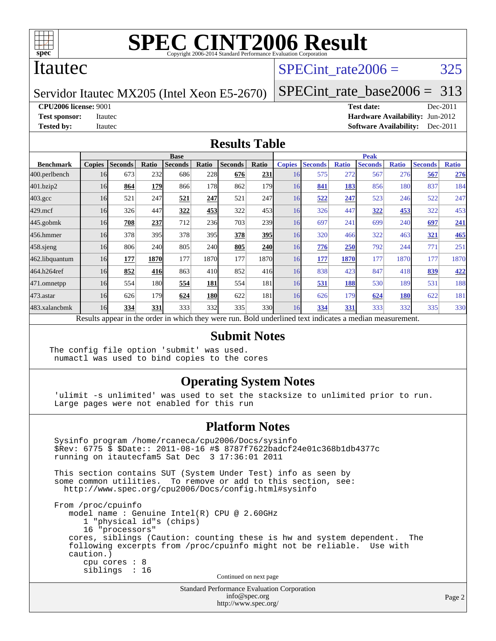

### Itautec

# SPECint rate $2006 = 325$

Servidor Itautec MX205 (Intel Xeon E5-2670)

[SPECint\\_rate\\_base2006 =](http://www.spec.org/auto/cpu2006/Docs/result-fields.html#SPECintratebase2006) 313

**[CPU2006 license:](http://www.spec.org/auto/cpu2006/Docs/result-fields.html#CPU2006license)** 9001 **[Test date:](http://www.spec.org/auto/cpu2006/Docs/result-fields.html#Testdate)** Dec-2011

**[Test sponsor:](http://www.spec.org/auto/cpu2006/Docs/result-fields.html#Testsponsor)** Itautec **[Hardware Availability:](http://www.spec.org/auto/cpu2006/Docs/result-fields.html#HardwareAvailability)** Jun-2012 **[Tested by:](http://www.spec.org/auto/cpu2006/Docs/result-fields.html#Testedby)** Itautec **Italien Contract Contract Contract Contract Contract Contract Contract Contract Contract Contract Contract Contract Contract Contract Contract Contract Contract Contract Contract Contract Contract Con** 

#### **[Results Table](http://www.spec.org/auto/cpu2006/Docs/result-fields.html#ResultsTable)**

|                                                                                                          | <b>Base</b>   |                |            |                |            |                |       | <b>Peak</b>   |                |              |                |              |                |              |  |
|----------------------------------------------------------------------------------------------------------|---------------|----------------|------------|----------------|------------|----------------|-------|---------------|----------------|--------------|----------------|--------------|----------------|--------------|--|
| <b>Benchmark</b>                                                                                         | <b>Copies</b> | <b>Seconds</b> | Ratio      | <b>Seconds</b> | Ratio      | <b>Seconds</b> | Ratio | <b>Copies</b> | <b>Seconds</b> | <b>Ratio</b> | <b>Seconds</b> | <b>Ratio</b> | <b>Seconds</b> | <b>Ratio</b> |  |
| 400.perlbench                                                                                            | 16            | 673            | 232        | 686            | 228        | 676            | 231   | 16            | 575            | 272          | 567            | 276          | 567            | 276          |  |
| 401.bzip2                                                                                                | 16            | 864            | 179        | 866            | 178        | 862            | 179l  | 16            | 841            | 183          | 856            | 180          | 837            | 184          |  |
| $403.\mathrm{gcc}$                                                                                       | 16            | 521            | 247        | 521            | 247        | 521            | 247   | 16            | 522            | 247          | 523            | 246          | 522            | 247          |  |
| $429$ .mcf                                                                                               | 16            | 326            | 447        | 322            | 453        | 322            | 453   | 16            | 326            | 447          | 322            | 453          | 322            | 453          |  |
| $445$ .gobmk                                                                                             | 16            | 708            | 237        | 712            | 236        | 703            | 239   | 16            | 697            | 241          | 699            | 240          | 697            | 241          |  |
| 456.hmmer                                                                                                | 16            | 378            | 395        | 378            | 395        | 378            | 395   | 16            | 320            | 466          | 322            | 463          | 321            | 465          |  |
| $458$ .sjeng                                                                                             | 16            | 806            | 240        | 805            | 240        | 805            | 240   | 16            | 776            | 250          | 792            | 244          | 771            | 251          |  |
| 462.libquantum                                                                                           | 16            | 177            | 1870       | 177            | 1870       | 177            | 1870  | 16            | 177            | 1870         | 177            | 1870         | 177            | 1870         |  |
| 464.h264ref                                                                                              | 16            | 852            | 416        | 863            | 410        | 852            | 416   | 16            | 838            | 423          | 847            | 418          | 839            | 422          |  |
| 471.omnetpp                                                                                              | 16            | 554            | 180        | 554            | 181        | 554            | 181   | 16            | 531            | 188          | 530            | 189          | 531            | 188          |  |
| 473.astar                                                                                                | 16            | 626            | 179        | 624            | <b>180</b> | 622            | 181   | 16            | 626            | 179          | 624            | <b>180</b>   | 622            | 181          |  |
| 483.xalancbmk                                                                                            | 16            | 334            | <b>331</b> | 333            | 332        | 335            | 330   | 16            | 334            | 331          | 333            | 332          | 335            | 330          |  |
| Results appear in the order in which they were run. Bold underlined text indicates a median measurement. |               |                |            |                |            |                |       |               |                |              |                |              |                |              |  |

#### **[Submit Notes](http://www.spec.org/auto/cpu2006/Docs/result-fields.html#SubmitNotes)**

The config file option 'submit' was used. numactl was used to bind copies to the cores

### **[Operating System Notes](http://www.spec.org/auto/cpu2006/Docs/result-fields.html#OperatingSystemNotes)**

 'ulimit -s unlimited' was used to set the stacksize to unlimited prior to run. Large pages were not enabled for this run

#### **[Platform Notes](http://www.spec.org/auto/cpu2006/Docs/result-fields.html#PlatformNotes)**

 Sysinfo program /home/rcaneca/cpu2006/Docs/sysinfo \$Rev: 6775 \$ \$Date:: 2011-08-16 #\$ 8787f7622badcf24e01c368b1db4377c running on itautecfam5 Sat Dec 3 17:36:01 2011 This section contains SUT (System Under Test) info as seen by some common utilities. To remove or add to this section, see: <http://www.spec.org/cpu2006/Docs/config.html#sysinfo> From /proc/cpuinfo model name : Genuine Intel(R) CPU @ 2.60GHz 1 "physical id"s (chips) 16 "processors" cores, siblings (Caution: counting these is hw and system dependent. The following excerpts from /proc/cpuinfo might not be reliable. Use with caution.) cpu cores : 8 siblings : 16 Continued on next page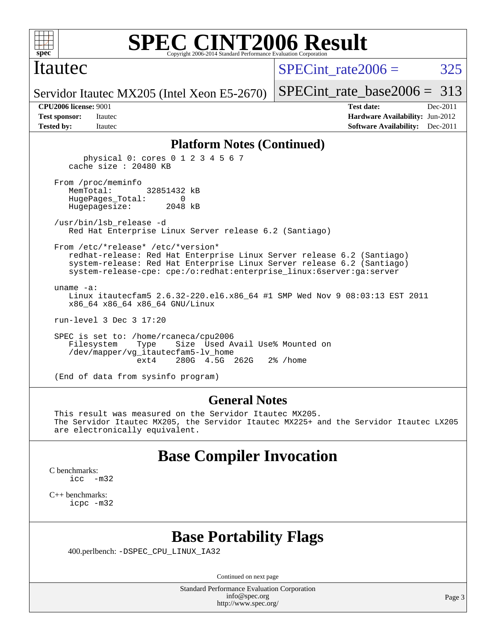

### Itautec

SPECint rate $2006 = 325$ 

Servidor Itautec MX205 (Intel Xeon E5-2670)

[SPECint\\_rate\\_base2006 =](http://www.spec.org/auto/cpu2006/Docs/result-fields.html#SPECintratebase2006) 313 **[CPU2006 license:](http://www.spec.org/auto/cpu2006/Docs/result-fields.html#CPU2006license)** 9001 **[Test date:](http://www.spec.org/auto/cpu2006/Docs/result-fields.html#Testdate)** Dec-2011

**[Test sponsor:](http://www.spec.org/auto/cpu2006/Docs/result-fields.html#Testsponsor)** Itautec **[Hardware Availability:](http://www.spec.org/auto/cpu2006/Docs/result-fields.html#HardwareAvailability)** Jun-2012 **[Tested by:](http://www.spec.org/auto/cpu2006/Docs/result-fields.html#Testedby)** Itautec **Italien Contract Contract Contract Contract Contract Contract Contract Contract Contract Contract Contract Contract Contract Contract Contract Contract Contract Contract Contract Contract Contract Con** 

#### **[Platform Notes \(Continued\)](http://www.spec.org/auto/cpu2006/Docs/result-fields.html#PlatformNotes)**

 physical 0: cores 0 1 2 3 4 5 6 7 cache size : 20480 KB From /proc/meminfo MemTotal: 32851432 kB HugePages\_Total: 0 Hugepagesize: 2048 kB /usr/bin/lsb\_release -d Red Hat Enterprise Linux Server release 6.2 (Santiago) From /etc/\*release\* /etc/\*version\* redhat-release: Red Hat Enterprise Linux Server release 6.2 (Santiago) system-release: Red Hat Enterprise Linux Server release 6.2 (Santiago) system-release-cpe: cpe:/o:redhat:enterprise\_linux:6server:ga:server uname -a: Linux itautecfam5 2.6.32-220.el6.x86\_64 #1 SMP Wed Nov 9 08:03:13 EST 2011 x86\_64 x86\_64 x86\_64 GNU/Linux run-level 3 Dec 3 17:20 SPEC is set to: /home/rcaneca/cpu2006 Filesystem Type Size Used Avail Use% Mounted on /dev/mapper/vg\_itautecfam5-lv\_home 280G 4.5G 262G 2% / home

(End of data from sysinfo program)

#### **[General Notes](http://www.spec.org/auto/cpu2006/Docs/result-fields.html#GeneralNotes)**

 This result was measured on the Servidor Itautec MX205. The Servidor Itautec MX205, the Servidor Itautec MX225+ and the Servidor Itautec LX205 are electronically equivalent.

# **[Base Compiler Invocation](http://www.spec.org/auto/cpu2006/Docs/result-fields.html#BaseCompilerInvocation)**

[C benchmarks](http://www.spec.org/auto/cpu2006/Docs/result-fields.html#Cbenchmarks): [icc -m32](http://www.spec.org/cpu2006/results/res2012q3/cpu2006-20120824-24331.flags.html#user_CCbase_intel_icc_5ff4a39e364c98233615fdd38438c6f2)

[C++ benchmarks:](http://www.spec.org/auto/cpu2006/Docs/result-fields.html#CXXbenchmarks) [icpc -m32](http://www.spec.org/cpu2006/results/res2012q3/cpu2006-20120824-24331.flags.html#user_CXXbase_intel_icpc_4e5a5ef1a53fd332b3c49e69c3330699)

# **[Base Portability Flags](http://www.spec.org/auto/cpu2006/Docs/result-fields.html#BasePortabilityFlags)**

400.perlbench: [-DSPEC\\_CPU\\_LINUX\\_IA32](http://www.spec.org/cpu2006/results/res2012q3/cpu2006-20120824-24331.flags.html#b400.perlbench_baseCPORTABILITY_DSPEC_CPU_LINUX_IA32)

Continued on next page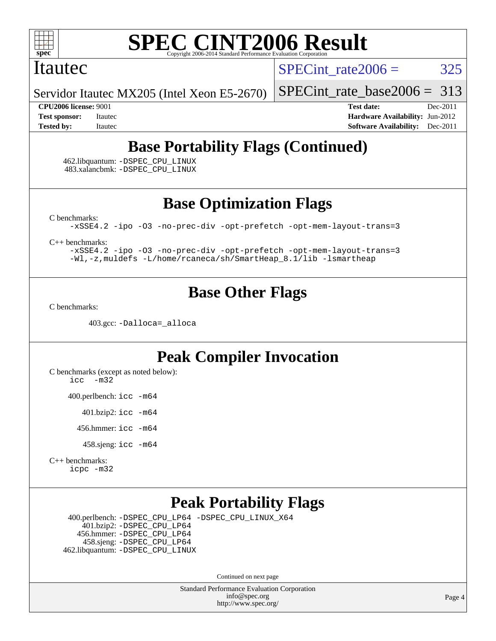

### Itautec

SPECint rate $2006 = 325$ 

Servidor Itautec MX205 (Intel Xeon E5-2670)

[SPECint\\_rate\\_base2006 =](http://www.spec.org/auto/cpu2006/Docs/result-fields.html#SPECintratebase2006) 313

**[CPU2006 license:](http://www.spec.org/auto/cpu2006/Docs/result-fields.html#CPU2006license)** 9001 **[Test date:](http://www.spec.org/auto/cpu2006/Docs/result-fields.html#Testdate)** Dec-2011 **[Test sponsor:](http://www.spec.org/auto/cpu2006/Docs/result-fields.html#Testsponsor)** Itautec **[Hardware Availability:](http://www.spec.org/auto/cpu2006/Docs/result-fields.html#HardwareAvailability)** Jun-2012 **[Tested by:](http://www.spec.org/auto/cpu2006/Docs/result-fields.html#Testedby)** Itautec **Italien Contract Contract Contract Contract Contract Contract Contract Contract Contract Contract Contract Contract Contract Contract Contract Contract Contract Contract Contract Contract Contract Con** 

# **[Base Portability Flags \(Continued\)](http://www.spec.org/auto/cpu2006/Docs/result-fields.html#BasePortabilityFlags)**

 462.libquantum: [-DSPEC\\_CPU\\_LINUX](http://www.spec.org/cpu2006/results/res2012q3/cpu2006-20120824-24331.flags.html#b462.libquantum_baseCPORTABILITY_DSPEC_CPU_LINUX) 483.xalancbmk: [-DSPEC\\_CPU\\_LINUX](http://www.spec.org/cpu2006/results/res2012q3/cpu2006-20120824-24331.flags.html#b483.xalancbmk_baseCXXPORTABILITY_DSPEC_CPU_LINUX)

**[Base Optimization Flags](http://www.spec.org/auto/cpu2006/Docs/result-fields.html#BaseOptimizationFlags)**

[C benchmarks](http://www.spec.org/auto/cpu2006/Docs/result-fields.html#Cbenchmarks):

[-xSSE4.2](http://www.spec.org/cpu2006/results/res2012q3/cpu2006-20120824-24331.flags.html#user_CCbase_f-xSSE42_f91528193cf0b216347adb8b939d4107) [-ipo](http://www.spec.org/cpu2006/results/res2012q3/cpu2006-20120824-24331.flags.html#user_CCbase_f-ipo) [-O3](http://www.spec.org/cpu2006/results/res2012q3/cpu2006-20120824-24331.flags.html#user_CCbase_f-O3) [-no-prec-div](http://www.spec.org/cpu2006/results/res2012q3/cpu2006-20120824-24331.flags.html#user_CCbase_f-no-prec-div) [-opt-prefetch](http://www.spec.org/cpu2006/results/res2012q3/cpu2006-20120824-24331.flags.html#user_CCbase_f-opt-prefetch) [-opt-mem-layout-trans=3](http://www.spec.org/cpu2006/results/res2012q3/cpu2006-20120824-24331.flags.html#user_CCbase_f-opt-mem-layout-trans_a7b82ad4bd7abf52556d4961a2ae94d5)

[C++ benchmarks:](http://www.spec.org/auto/cpu2006/Docs/result-fields.html#CXXbenchmarks)

[-xSSE4.2](http://www.spec.org/cpu2006/results/res2012q3/cpu2006-20120824-24331.flags.html#user_CXXbase_f-xSSE42_f91528193cf0b216347adb8b939d4107) [-ipo](http://www.spec.org/cpu2006/results/res2012q3/cpu2006-20120824-24331.flags.html#user_CXXbase_f-ipo) [-O3](http://www.spec.org/cpu2006/results/res2012q3/cpu2006-20120824-24331.flags.html#user_CXXbase_f-O3) [-no-prec-div](http://www.spec.org/cpu2006/results/res2012q3/cpu2006-20120824-24331.flags.html#user_CXXbase_f-no-prec-div) [-opt-prefetch](http://www.spec.org/cpu2006/results/res2012q3/cpu2006-20120824-24331.flags.html#user_CXXbase_f-opt-prefetch) [-opt-mem-layout-trans=3](http://www.spec.org/cpu2006/results/res2012q3/cpu2006-20120824-24331.flags.html#user_CXXbase_f-opt-mem-layout-trans_a7b82ad4bd7abf52556d4961a2ae94d5) [-Wl,-z,muldefs](http://www.spec.org/cpu2006/results/res2012q3/cpu2006-20120824-24331.flags.html#user_CXXbase_link_force_multiple1_74079c344b956b9658436fd1b6dd3a8a) [-L/home/rcaneca/sh/SmartHeap\\_8.1/lib -lsmartheap](http://www.spec.org/cpu2006/results/res2012q3/cpu2006-20120824-24331.flags.html#user_CXXbase_SmartHeap_0f3a9c58980a95eacf4c6b7a458c149d)

# **[Base Other Flags](http://www.spec.org/auto/cpu2006/Docs/result-fields.html#BaseOtherFlags)**

[C benchmarks](http://www.spec.org/auto/cpu2006/Docs/result-fields.html#Cbenchmarks):

403.gcc: [-Dalloca=\\_alloca](http://www.spec.org/cpu2006/results/res2012q3/cpu2006-20120824-24331.flags.html#b403.gcc_baseEXTRA_CFLAGS_Dalloca_be3056838c12de2578596ca5467af7f3)

# **[Peak Compiler Invocation](http://www.spec.org/auto/cpu2006/Docs/result-fields.html#PeakCompilerInvocation)**

[C benchmarks \(except as noted below\)](http://www.spec.org/auto/cpu2006/Docs/result-fields.html#Cbenchmarksexceptasnotedbelow): [icc -m32](http://www.spec.org/cpu2006/results/res2012q3/cpu2006-20120824-24331.flags.html#user_CCpeak_intel_icc_5ff4a39e364c98233615fdd38438c6f2)

400.perlbench: [icc -m64](http://www.spec.org/cpu2006/results/res2012q3/cpu2006-20120824-24331.flags.html#user_peakCCLD400_perlbench_intel_icc_64bit_bda6cc9af1fdbb0edc3795bac97ada53)

401.bzip2: [icc -m64](http://www.spec.org/cpu2006/results/res2012q3/cpu2006-20120824-24331.flags.html#user_peakCCLD401_bzip2_intel_icc_64bit_bda6cc9af1fdbb0edc3795bac97ada53)

456.hmmer: [icc -m64](http://www.spec.org/cpu2006/results/res2012q3/cpu2006-20120824-24331.flags.html#user_peakCCLD456_hmmer_intel_icc_64bit_bda6cc9af1fdbb0edc3795bac97ada53)

458.sjeng: [icc -m64](http://www.spec.org/cpu2006/results/res2012q3/cpu2006-20120824-24331.flags.html#user_peakCCLD458_sjeng_intel_icc_64bit_bda6cc9af1fdbb0edc3795bac97ada53)

[C++ benchmarks:](http://www.spec.org/auto/cpu2006/Docs/result-fields.html#CXXbenchmarks) [icpc -m32](http://www.spec.org/cpu2006/results/res2012q3/cpu2006-20120824-24331.flags.html#user_CXXpeak_intel_icpc_4e5a5ef1a53fd332b3c49e69c3330699)

# **[Peak Portability Flags](http://www.spec.org/auto/cpu2006/Docs/result-fields.html#PeakPortabilityFlags)**

 400.perlbench: [-DSPEC\\_CPU\\_LP64](http://www.spec.org/cpu2006/results/res2012q3/cpu2006-20120824-24331.flags.html#b400.perlbench_peakCPORTABILITY_DSPEC_CPU_LP64) [-DSPEC\\_CPU\\_LINUX\\_X64](http://www.spec.org/cpu2006/results/res2012q3/cpu2006-20120824-24331.flags.html#b400.perlbench_peakCPORTABILITY_DSPEC_CPU_LINUX_X64) 401.bzip2: [-DSPEC\\_CPU\\_LP64](http://www.spec.org/cpu2006/results/res2012q3/cpu2006-20120824-24331.flags.html#suite_peakCPORTABILITY401_bzip2_DSPEC_CPU_LP64) 456.hmmer: [-DSPEC\\_CPU\\_LP64](http://www.spec.org/cpu2006/results/res2012q3/cpu2006-20120824-24331.flags.html#suite_peakCPORTABILITY456_hmmer_DSPEC_CPU_LP64) 458.sjeng: [-DSPEC\\_CPU\\_LP64](http://www.spec.org/cpu2006/results/res2012q3/cpu2006-20120824-24331.flags.html#suite_peakCPORTABILITY458_sjeng_DSPEC_CPU_LP64) 462.libquantum: [-DSPEC\\_CPU\\_LINUX](http://www.spec.org/cpu2006/results/res2012q3/cpu2006-20120824-24331.flags.html#b462.libquantum_peakCPORTABILITY_DSPEC_CPU_LINUX)

Continued on next page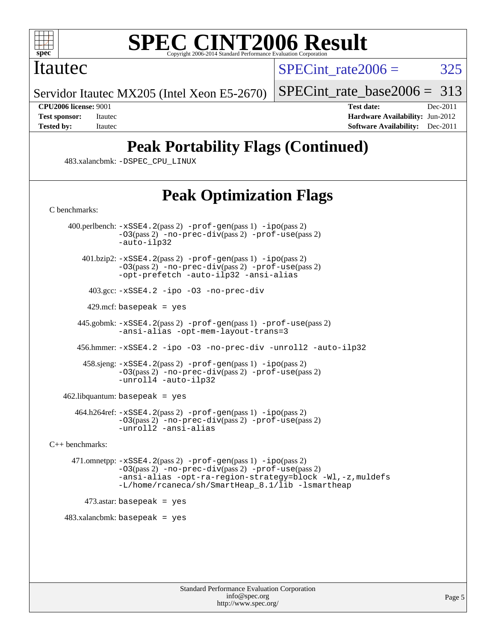

## Itautec

SPECint rate $2006 = 325$ 

Servidor Itautec MX205 (Intel Xeon E5-2670)

[SPECint\\_rate\\_base2006 =](http://www.spec.org/auto/cpu2006/Docs/result-fields.html#SPECintratebase2006) 313

**[CPU2006 license:](http://www.spec.org/auto/cpu2006/Docs/result-fields.html#CPU2006license)** 9001 **[Test date:](http://www.spec.org/auto/cpu2006/Docs/result-fields.html#Testdate)** Dec-2011 **[Test sponsor:](http://www.spec.org/auto/cpu2006/Docs/result-fields.html#Testsponsor)** Itautec **[Hardware Availability:](http://www.spec.org/auto/cpu2006/Docs/result-fields.html#HardwareAvailability)** Jun-2012 **[Tested by:](http://www.spec.org/auto/cpu2006/Docs/result-fields.html#Testedby)** Itautec **Italien Contract Contract Contract Contract Contract Contract Contract Contract Contract Contract Contract Contract Contract Contract Contract Contract Contract Contract Contract Contract Contract Con** 

# **[Peak Portability Flags \(Continued\)](http://www.spec.org/auto/cpu2006/Docs/result-fields.html#PeakPortabilityFlags)**

483.xalancbmk: [-DSPEC\\_CPU\\_LINUX](http://www.spec.org/cpu2006/results/res2012q3/cpu2006-20120824-24331.flags.html#b483.xalancbmk_peakCXXPORTABILITY_DSPEC_CPU_LINUX)

# **[Peak Optimization Flags](http://www.spec.org/auto/cpu2006/Docs/result-fields.html#PeakOptimizationFlags)**

[C benchmarks](http://www.spec.org/auto/cpu2006/Docs/result-fields.html#Cbenchmarks):

 400.perlbench: [-xSSE4.2](http://www.spec.org/cpu2006/results/res2012q3/cpu2006-20120824-24331.flags.html#user_peakPASS2_CFLAGSPASS2_LDCFLAGS400_perlbench_f-xSSE42_f91528193cf0b216347adb8b939d4107)(pass 2) [-prof-gen](http://www.spec.org/cpu2006/results/res2012q3/cpu2006-20120824-24331.flags.html#user_peakPASS1_CFLAGSPASS1_LDCFLAGS400_perlbench_prof_gen_e43856698f6ca7b7e442dfd80e94a8fc)(pass 1) [-ipo](http://www.spec.org/cpu2006/results/res2012q3/cpu2006-20120824-24331.flags.html#user_peakPASS2_CFLAGSPASS2_LDCFLAGS400_perlbench_f-ipo)(pass 2) [-O3](http://www.spec.org/cpu2006/results/res2012q3/cpu2006-20120824-24331.flags.html#user_peakPASS2_CFLAGSPASS2_LDCFLAGS400_perlbench_f-O3)(pass 2) [-no-prec-div](http://www.spec.org/cpu2006/results/res2012q3/cpu2006-20120824-24331.flags.html#user_peakPASS2_CFLAGSPASS2_LDCFLAGS400_perlbench_f-no-prec-div)(pass 2) [-prof-use](http://www.spec.org/cpu2006/results/res2012q3/cpu2006-20120824-24331.flags.html#user_peakPASS2_CFLAGSPASS2_LDCFLAGS400_perlbench_prof_use_bccf7792157ff70d64e32fe3e1250b55)(pass 2) [-auto-ilp32](http://www.spec.org/cpu2006/results/res2012q3/cpu2006-20120824-24331.flags.html#user_peakCOPTIMIZE400_perlbench_f-auto-ilp32) 401.bzip2: [-xSSE4.2](http://www.spec.org/cpu2006/results/res2012q3/cpu2006-20120824-24331.flags.html#user_peakPASS2_CFLAGSPASS2_LDCFLAGS401_bzip2_f-xSSE42_f91528193cf0b216347adb8b939d4107)(pass 2) [-prof-gen](http://www.spec.org/cpu2006/results/res2012q3/cpu2006-20120824-24331.flags.html#user_peakPASS1_CFLAGSPASS1_LDCFLAGS401_bzip2_prof_gen_e43856698f6ca7b7e442dfd80e94a8fc)(pass 1) [-ipo](http://www.spec.org/cpu2006/results/res2012q3/cpu2006-20120824-24331.flags.html#user_peakPASS2_CFLAGSPASS2_LDCFLAGS401_bzip2_f-ipo)(pass 2) [-O3](http://www.spec.org/cpu2006/results/res2012q3/cpu2006-20120824-24331.flags.html#user_peakPASS2_CFLAGSPASS2_LDCFLAGS401_bzip2_f-O3)(pass 2) [-no-prec-div](http://www.spec.org/cpu2006/results/res2012q3/cpu2006-20120824-24331.flags.html#user_peakPASS2_CFLAGSPASS2_LDCFLAGS401_bzip2_f-no-prec-div)(pass 2) [-prof-use](http://www.spec.org/cpu2006/results/res2012q3/cpu2006-20120824-24331.flags.html#user_peakPASS2_CFLAGSPASS2_LDCFLAGS401_bzip2_prof_use_bccf7792157ff70d64e32fe3e1250b55)(pass 2) [-opt-prefetch](http://www.spec.org/cpu2006/results/res2012q3/cpu2006-20120824-24331.flags.html#user_peakCOPTIMIZE401_bzip2_f-opt-prefetch) [-auto-ilp32](http://www.spec.org/cpu2006/results/res2012q3/cpu2006-20120824-24331.flags.html#user_peakCOPTIMIZE401_bzip2_f-auto-ilp32) [-ansi-alias](http://www.spec.org/cpu2006/results/res2012q3/cpu2006-20120824-24331.flags.html#user_peakCOPTIMIZE401_bzip2_f-ansi-alias) 403.gcc: [-xSSE4.2](http://www.spec.org/cpu2006/results/res2012q3/cpu2006-20120824-24331.flags.html#user_peakCOPTIMIZE403_gcc_f-xSSE42_f91528193cf0b216347adb8b939d4107) [-ipo](http://www.spec.org/cpu2006/results/res2012q3/cpu2006-20120824-24331.flags.html#user_peakCOPTIMIZE403_gcc_f-ipo) [-O3](http://www.spec.org/cpu2006/results/res2012q3/cpu2006-20120824-24331.flags.html#user_peakCOPTIMIZE403_gcc_f-O3) [-no-prec-div](http://www.spec.org/cpu2006/results/res2012q3/cpu2006-20120824-24331.flags.html#user_peakCOPTIMIZE403_gcc_f-no-prec-div)  $429$ .mcf: basepeak = yes 445.gobmk: [-xSSE4.2](http://www.spec.org/cpu2006/results/res2012q3/cpu2006-20120824-24331.flags.html#user_peakPASS2_CFLAGSPASS2_LDCFLAGS445_gobmk_f-xSSE42_f91528193cf0b216347adb8b939d4107)(pass 2) [-prof-gen](http://www.spec.org/cpu2006/results/res2012q3/cpu2006-20120824-24331.flags.html#user_peakPASS1_CFLAGSPASS1_LDCFLAGS445_gobmk_prof_gen_e43856698f6ca7b7e442dfd80e94a8fc)(pass 1) [-prof-use](http://www.spec.org/cpu2006/results/res2012q3/cpu2006-20120824-24331.flags.html#user_peakPASS2_CFLAGSPASS2_LDCFLAGS445_gobmk_prof_use_bccf7792157ff70d64e32fe3e1250b55)(pass 2) [-ansi-alias](http://www.spec.org/cpu2006/results/res2012q3/cpu2006-20120824-24331.flags.html#user_peakCOPTIMIZE445_gobmk_f-ansi-alias) [-opt-mem-layout-trans=3](http://www.spec.org/cpu2006/results/res2012q3/cpu2006-20120824-24331.flags.html#user_peakCOPTIMIZE445_gobmk_f-opt-mem-layout-trans_a7b82ad4bd7abf52556d4961a2ae94d5) 456.hmmer: [-xSSE4.2](http://www.spec.org/cpu2006/results/res2012q3/cpu2006-20120824-24331.flags.html#user_peakCOPTIMIZE456_hmmer_f-xSSE42_f91528193cf0b216347adb8b939d4107) [-ipo](http://www.spec.org/cpu2006/results/res2012q3/cpu2006-20120824-24331.flags.html#user_peakCOPTIMIZE456_hmmer_f-ipo) [-O3](http://www.spec.org/cpu2006/results/res2012q3/cpu2006-20120824-24331.flags.html#user_peakCOPTIMIZE456_hmmer_f-O3) [-no-prec-div](http://www.spec.org/cpu2006/results/res2012q3/cpu2006-20120824-24331.flags.html#user_peakCOPTIMIZE456_hmmer_f-no-prec-div) [-unroll2](http://www.spec.org/cpu2006/results/res2012q3/cpu2006-20120824-24331.flags.html#user_peakCOPTIMIZE456_hmmer_f-unroll_784dae83bebfb236979b41d2422d7ec2) [-auto-ilp32](http://www.spec.org/cpu2006/results/res2012q3/cpu2006-20120824-24331.flags.html#user_peakCOPTIMIZE456_hmmer_f-auto-ilp32) 458.sjeng: [-xSSE4.2](http://www.spec.org/cpu2006/results/res2012q3/cpu2006-20120824-24331.flags.html#user_peakPASS2_CFLAGSPASS2_LDCFLAGS458_sjeng_f-xSSE42_f91528193cf0b216347adb8b939d4107)(pass 2) [-prof-gen](http://www.spec.org/cpu2006/results/res2012q3/cpu2006-20120824-24331.flags.html#user_peakPASS1_CFLAGSPASS1_LDCFLAGS458_sjeng_prof_gen_e43856698f6ca7b7e442dfd80e94a8fc)(pass 1) [-ipo](http://www.spec.org/cpu2006/results/res2012q3/cpu2006-20120824-24331.flags.html#user_peakPASS2_CFLAGSPASS2_LDCFLAGS458_sjeng_f-ipo)(pass 2) [-O3](http://www.spec.org/cpu2006/results/res2012q3/cpu2006-20120824-24331.flags.html#user_peakPASS2_CFLAGSPASS2_LDCFLAGS458_sjeng_f-O3)(pass 2) [-no-prec-div](http://www.spec.org/cpu2006/results/res2012q3/cpu2006-20120824-24331.flags.html#user_peakPASS2_CFLAGSPASS2_LDCFLAGS458_sjeng_f-no-prec-div)(pass 2) [-prof-use](http://www.spec.org/cpu2006/results/res2012q3/cpu2006-20120824-24331.flags.html#user_peakPASS2_CFLAGSPASS2_LDCFLAGS458_sjeng_prof_use_bccf7792157ff70d64e32fe3e1250b55)(pass 2) [-unroll4](http://www.spec.org/cpu2006/results/res2012q3/cpu2006-20120824-24331.flags.html#user_peakCOPTIMIZE458_sjeng_f-unroll_4e5e4ed65b7fd20bdcd365bec371b81f) [-auto-ilp32](http://www.spec.org/cpu2006/results/res2012q3/cpu2006-20120824-24331.flags.html#user_peakCOPTIMIZE458_sjeng_f-auto-ilp32) 462.libquantum: basepeak = yes 464.h264ref: [-xSSE4.2](http://www.spec.org/cpu2006/results/res2012q3/cpu2006-20120824-24331.flags.html#user_peakPASS2_CFLAGSPASS2_LDCFLAGS464_h264ref_f-xSSE42_f91528193cf0b216347adb8b939d4107)(pass 2) [-prof-gen](http://www.spec.org/cpu2006/results/res2012q3/cpu2006-20120824-24331.flags.html#user_peakPASS1_CFLAGSPASS1_LDCFLAGS464_h264ref_prof_gen_e43856698f6ca7b7e442dfd80e94a8fc)(pass 1) [-ipo](http://www.spec.org/cpu2006/results/res2012q3/cpu2006-20120824-24331.flags.html#user_peakPASS2_CFLAGSPASS2_LDCFLAGS464_h264ref_f-ipo)(pass 2) [-O3](http://www.spec.org/cpu2006/results/res2012q3/cpu2006-20120824-24331.flags.html#user_peakPASS2_CFLAGSPASS2_LDCFLAGS464_h264ref_f-O3)(pass 2) [-no-prec-div](http://www.spec.org/cpu2006/results/res2012q3/cpu2006-20120824-24331.flags.html#user_peakPASS2_CFLAGSPASS2_LDCFLAGS464_h264ref_f-no-prec-div)(pass 2) [-prof-use](http://www.spec.org/cpu2006/results/res2012q3/cpu2006-20120824-24331.flags.html#user_peakPASS2_CFLAGSPASS2_LDCFLAGS464_h264ref_prof_use_bccf7792157ff70d64e32fe3e1250b55)(pass 2) [-unroll2](http://www.spec.org/cpu2006/results/res2012q3/cpu2006-20120824-24331.flags.html#user_peakCOPTIMIZE464_h264ref_f-unroll_784dae83bebfb236979b41d2422d7ec2) [-ansi-alias](http://www.spec.org/cpu2006/results/res2012q3/cpu2006-20120824-24331.flags.html#user_peakCOPTIMIZE464_h264ref_f-ansi-alias) [C++ benchmarks:](http://www.spec.org/auto/cpu2006/Docs/result-fields.html#CXXbenchmarks) 471.omnetpp: [-xSSE4.2](http://www.spec.org/cpu2006/results/res2012q3/cpu2006-20120824-24331.flags.html#user_peakPASS2_CXXFLAGSPASS2_LDCXXFLAGS471_omnetpp_f-xSSE42_f91528193cf0b216347adb8b939d4107)(pass 2) [-prof-gen](http://www.spec.org/cpu2006/results/res2012q3/cpu2006-20120824-24331.flags.html#user_peakPASS1_CXXFLAGSPASS1_LDCXXFLAGS471_omnetpp_prof_gen_e43856698f6ca7b7e442dfd80e94a8fc)(pass 1) [-ipo](http://www.spec.org/cpu2006/results/res2012q3/cpu2006-20120824-24331.flags.html#user_peakPASS2_CXXFLAGSPASS2_LDCXXFLAGS471_omnetpp_f-ipo)(pass 2) [-O3](http://www.spec.org/cpu2006/results/res2012q3/cpu2006-20120824-24331.flags.html#user_peakPASS2_CXXFLAGSPASS2_LDCXXFLAGS471_omnetpp_f-O3)(pass 2) [-no-prec-div](http://www.spec.org/cpu2006/results/res2012q3/cpu2006-20120824-24331.flags.html#user_peakPASS2_CXXFLAGSPASS2_LDCXXFLAGS471_omnetpp_f-no-prec-div)(pass 2) [-prof-use](http://www.spec.org/cpu2006/results/res2012q3/cpu2006-20120824-24331.flags.html#user_peakPASS2_CXXFLAGSPASS2_LDCXXFLAGS471_omnetpp_prof_use_bccf7792157ff70d64e32fe3e1250b55)(pass 2) [-ansi-alias](http://www.spec.org/cpu2006/results/res2012q3/cpu2006-20120824-24331.flags.html#user_peakCXXOPTIMIZE471_omnetpp_f-ansi-alias) [-opt-ra-region-strategy=block](http://www.spec.org/cpu2006/results/res2012q3/cpu2006-20120824-24331.flags.html#user_peakCXXOPTIMIZE471_omnetpp_f-opt-ra-region-strategy_a0a37c372d03933b2a18d4af463c1f69) [-Wl,-z,muldefs](http://www.spec.org/cpu2006/results/res2012q3/cpu2006-20120824-24331.flags.html#user_peakEXTRA_LDFLAGS471_omnetpp_link_force_multiple1_74079c344b956b9658436fd1b6dd3a8a) [-L/home/rcaneca/sh/SmartHeap\\_8.1/lib -lsmartheap](http://www.spec.org/cpu2006/results/res2012q3/cpu2006-20120824-24331.flags.html#user_peakEXTRA_LIBS471_omnetpp_SmartHeap_0f3a9c58980a95eacf4c6b7a458c149d)

 $473$ .astar: basepeak = yes

 $483.xalanchmk: basepeak = yes$